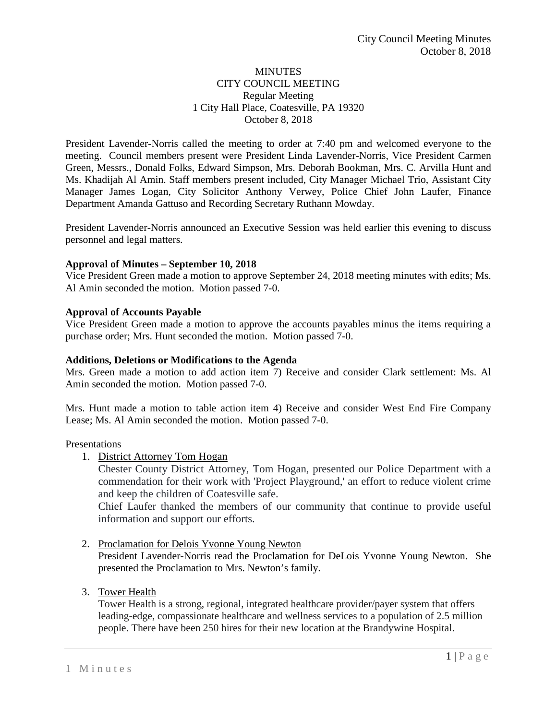## **MINUTES** CITY COUNCIL MEETING Regular Meeting 1 City Hall Place, Coatesville, PA 19320 October 8, 2018

President Lavender-Norris called the meeting to order at 7:40 pm and welcomed everyone to the meeting. Council members present were President Linda Lavender-Norris, Vice President Carmen Green, Messrs., Donald Folks, Edward Simpson, Mrs. Deborah Bookman, Mrs. C. Arvilla Hunt and Ms. Khadijah Al Amin. Staff members present included, City Manager Michael Trio, Assistant City Manager James Logan, City Solicitor Anthony Verwey, Police Chief John Laufer, Finance Department Amanda Gattuso and Recording Secretary Ruthann Mowday.

President Lavender-Norris announced an Executive Session was held earlier this evening to discuss personnel and legal matters.

# **Approval of Minutes – September 10, 2018**

Vice President Green made a motion to approve September 24, 2018 meeting minutes with edits; Ms. Al Amin seconded the motion. Motion passed 7-0.

## **Approval of Accounts Payable**

Vice President Green made a motion to approve the accounts payables minus the items requiring a purchase order; Mrs. Hunt seconded the motion. Motion passed 7-0.

### **Additions, Deletions or Modifications to the Agenda**

Mrs. Green made a motion to add action item 7) Receive and consider Clark settlement: Ms. Al Amin seconded the motion. Motion passed 7-0.

Mrs. Hunt made a motion to table action item 4) Receive and consider West End Fire Company Lease; Ms. Al Amin seconded the motion. Motion passed 7-0.

Presentations

1. District Attorney Tom Hogan

Chester County District Attorney, Tom Hogan, presented our Police Department with a commendation for their work with 'Project Playground,' an effort to reduce violent crime and keep the children of Coatesville safe.

Chief Laufer thanked the members of our community that continue to provide useful information and support our efforts.

2. Proclamation for Delois Yvonne Young Newton

President Lavender-Norris read the Proclamation for DeLois Yvonne Young Newton. She presented the Proclamation to Mrs. Newton's family.

3. Tower Health

Tower Health is a strong, regional, integrated healthcare provider/payer system that offers leading-edge, compassionate healthcare and wellness services to a population of 2.5 million people. There have been 250 hires for their new location at the Brandywine Hospital.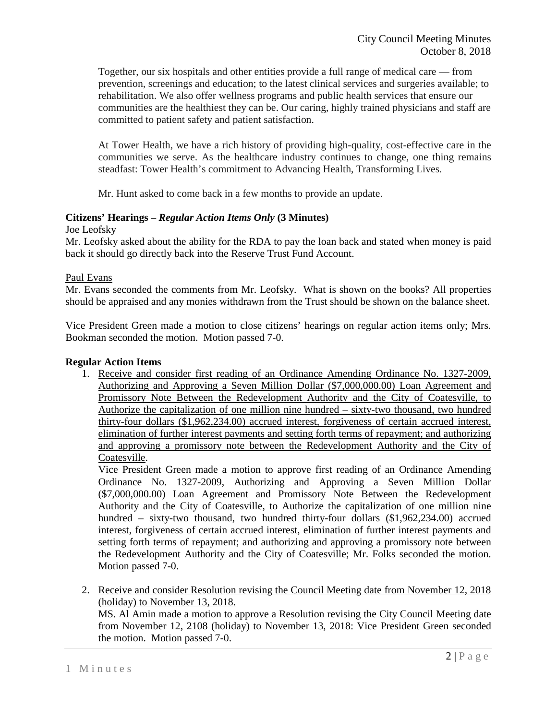Together, our six hospitals and other entities provide a full range of medical care — from prevention, screenings and education; to the latest clinical services and surgeries available; to rehabilitation. We also offer wellness programs and public health services that ensure our communities are the healthiest they can be. Our caring, highly trained physicians and staff are committed to patient safety and patient satisfaction.

At Tower Health, we have a rich history of providing high-quality, cost-effective care in the communities we serve. As the healthcare industry continues to change, one thing remains steadfast: Tower Health's commitment to Advancing Health, Transforming Lives.

Mr. Hunt asked to come back in a few months to provide an update.

#### **Citizens' Hearings –** *Regular Action Items Only* **(3 Minutes)** Joe Leofsky

Mr. Leofsky asked about the ability for the RDA to pay the loan back and stated when money is paid back it should go directly back into the Reserve Trust Fund Account.

# Paul Evans

Mr. Evans seconded the comments from Mr. Leofsky. What is shown on the books? All properties should be appraised and any monies withdrawn from the Trust should be shown on the balance sheet.

Vice President Green made a motion to close citizens' hearings on regular action items only; Mrs. Bookman seconded the motion. Motion passed 7-0.

### **Regular Action Items**

1. Receive and consider first reading of an Ordinance Amending Ordinance No. 1327-2009, Authorizing and Approving a Seven Million Dollar (\$7,000,000.00) Loan Agreement and Promissory Note Between the Redevelopment Authority and the City of Coatesville, to Authorize the capitalization of one million nine hundred – sixty-two thousand, two hundred thirty-four dollars (\$1,962,234.00) accrued interest, forgiveness of certain accrued interest, elimination of further interest payments and setting forth terms of repayment; and authorizing and approving a promissory note between the Redevelopment Authority and the City of Coatesville.

Vice President Green made a motion to approve first reading of an Ordinance Amending Ordinance No. 1327-2009, Authorizing and Approving a Seven Million Dollar (\$7,000,000.00) Loan Agreement and Promissory Note Between the Redevelopment Authority and the City of Coatesville, to Authorize the capitalization of one million nine hundred – sixty-two thousand, two hundred thirty-four dollars (\$1,962,234.00) accrued interest, forgiveness of certain accrued interest, elimination of further interest payments and setting forth terms of repayment; and authorizing and approving a promissory note between the Redevelopment Authority and the City of Coatesville; Mr. Folks seconded the motion. Motion passed 7-0.

2. Receive and consider Resolution revising the Council Meeting date from November 12, 2018 (holiday) to November 13, 2018.

MS. Al Amin made a motion to approve a Resolution revising the City Council Meeting date from November 12, 2108 (holiday) to November 13, 2018: Vice President Green seconded the motion. Motion passed 7-0.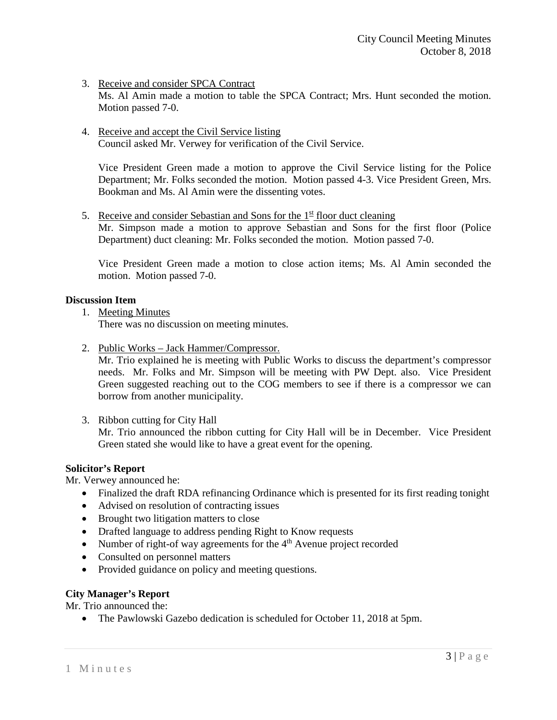## 3. Receive and consider SPCA Contract

Ms. Al Amin made a motion to table the SPCA Contract; Mrs. Hunt seconded the motion. Motion passed 7-0.

4. Receive and accept the Civil Service listing Council asked Mr. Verwey for verification of the Civil Service.

Vice President Green made a motion to approve the Civil Service listing for the Police Department; Mr. Folks seconded the motion. Motion passed 4-3. Vice President Green, Mrs. Bookman and Ms. Al Amin were the dissenting votes.

5. Receive and consider Sebastian and Sons for the  $1<sup>st</sup>$  floor duct cleaning Mr. Simpson made a motion to approve Sebastian and Sons for the first floor (Police Department) duct cleaning: Mr. Folks seconded the motion. Motion passed 7-0.

Vice President Green made a motion to close action items; Ms. Al Amin seconded the motion. Motion passed 7-0.

### **Discussion Item**

1. Meeting Minutes

There was no discussion on meeting minutes.

2. Public Works – Jack Hammer/Compressor.

Mr. Trio explained he is meeting with Public Works to discuss the department's compressor needs. Mr. Folks and Mr. Simpson will be meeting with PW Dept. also. Vice President Green suggested reaching out to the COG members to see if there is a compressor we can borrow from another municipality.

3. Ribbon cutting for City Hall

Mr. Trio announced the ribbon cutting for City Hall will be in December. Vice President Green stated she would like to have a great event for the opening.

#### **Solicitor's Report**

Mr. Verwey announced he:

- Finalized the draft RDA refinancing Ordinance which is presented for its first reading tonight
- Advised on resolution of contracting issues
- Brought two litigation matters to close
- Drafted language to address pending Right to Know requests
- Number of right-of way agreements for the  $4<sup>th</sup>$  Avenue project recorded
- Consulted on personnel matters
- Provided guidance on policy and meeting questions.

#### **City Manager's Report**

Mr. Trio announced the:

• The Pawlowski Gazebo dedication is scheduled for October 11, 2018 at 5pm.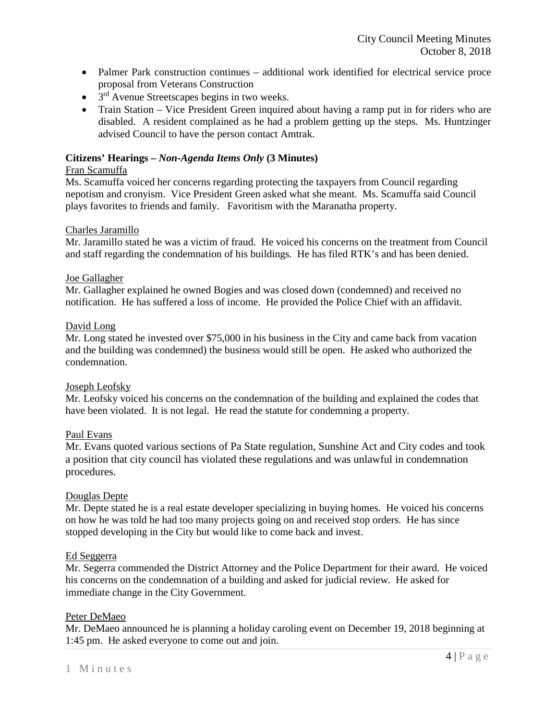- Palmer Park construction continues additional work identified for electrical service proce proposal from Veterans Construction
- $\bullet$  3<sup>rd</sup> Avenue Streetscapes begins in two weeks.
- Train Station Vice President Green inquired about having a ramp put in for riders who are disabled. A resident complained as he had a problem getting up the steps. Ms. Huntzinger advised Council to have the person contact Amtrak.

## **Citizens' Hearings –** *Non-Agenda Items Only* **(3 Minutes)**

### Fran Scamuffa

Ms. Scamuffa voiced her concerns regarding protecting the taxpayers from Council regarding nepotism and cronyism. Vice President Green asked what she meant. Ms. Scamuffa said Council plays favorites to friends and family. Favoritism with the Maranatha property.

#### Charles Jaramillo

Mr. Jaramillo stated he was a victim of fraud. He voiced his concerns on the treatment from Council and staff regarding the condemnation of his buildings. He has filed RTK's and has been denied.

## Joe Gallagher

Mr. Gallagher explained he owned Bogies and was closed down (condemned) and received no notification. He has suffered a loss of income. He provided the Police Chief with an affidavit.

## David Long

Mr. Long stated he invested over \$75,000 in his business in the City and came back from vacation and the building was condemned) the business would still be open. He asked who authorized the condemnation.

#### Joseph Leofsky

Mr. Leofsky voiced his concerns on the condemnation of the building and explained the codes that have been violated. It is not legal. He read the statute for condemning a property.

# Paul Evans

Mr. Evans quoted various sections of Pa State regulation, Sunshine Act and City codes and took a position that city council has violated these regulations and was unlawful in condemnation procedures.

# Douglas Depte

Mr. Depte stated he is a real estate developer specializing in buying homes. He voiced his concerns on how he was told he had too many projects going on and received stop orders. He has since stopped developing in the City but would like to come back and invest.

#### Ed Seggerra

Mr. Segerra commended the District Attorney and the Police Department for their award. He voiced his concerns on the condemnation of a building and asked for judicial review. He asked for immediate change in the City Government.

# Peter DeMaeo

Mr. DeMaeo announced he is planning a holiday caroling event on December 19, 2018 beginning at 1:45 pm. He asked everyone to come out and join.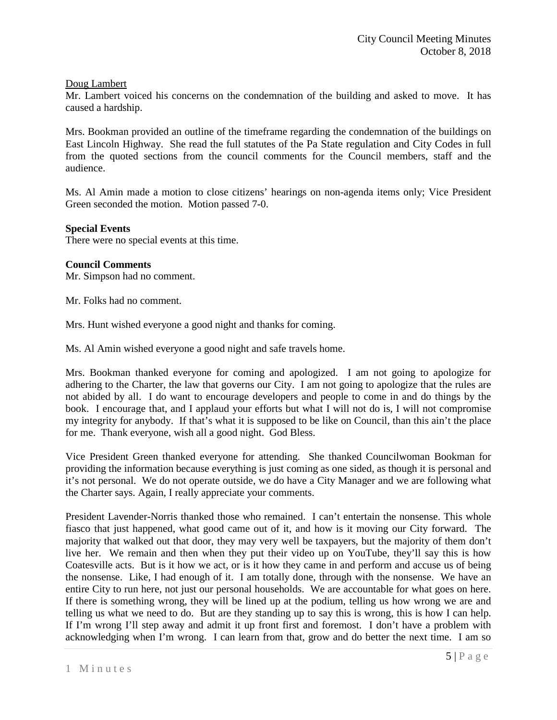# Doug Lambert

Mr. Lambert voiced his concerns on the condemnation of the building and asked to move. It has caused a hardship.

Mrs. Bookman provided an outline of the timeframe regarding the condemnation of the buildings on East Lincoln Highway. She read the full statutes of the Pa State regulation and City Codes in full from the quoted sections from the council comments for the Council members, staff and the audience.

Ms. Al Amin made a motion to close citizens' hearings on non-agenda items only; Vice President Green seconded the motion. Motion passed 7-0.

#### **Special Events**

There were no special events at this time.

## **Council Comments**

Mr. Simpson had no comment.

Mr. Folks had no comment.

Mrs. Hunt wished everyone a good night and thanks for coming.

Ms. Al Amin wished everyone a good night and safe travels home.

Mrs. Bookman thanked everyone for coming and apologized. I am not going to apologize for adhering to the Charter, the law that governs our City. I am not going to apologize that the rules are not abided by all. I do want to encourage developers and people to come in and do things by the book. I encourage that, and I applaud your efforts but what I will not do is, I will not compromise my integrity for anybody. If that's what it is supposed to be like on Council, than this ain't the place for me. Thank everyone, wish all a good night. God Bless.

Vice President Green thanked everyone for attending. She thanked Councilwoman Bookman for providing the information because everything is just coming as one sided, as though it is personal and it's not personal. We do not operate outside, we do have a City Manager and we are following what the Charter says. Again, I really appreciate your comments.

President Lavender-Norris thanked those who remained. I can't entertain the nonsense. This whole fiasco that just happened, what good came out of it, and how is it moving our City forward. The majority that walked out that door, they may very well be taxpayers, but the majority of them don't live her. We remain and then when they put their video up on YouTube, they'll say this is how Coatesville acts. But is it how we act, or is it how they came in and perform and accuse us of being the nonsense. Like, I had enough of it. I am totally done, through with the nonsense. We have an entire City to run here, not just our personal households. We are accountable for what goes on here. If there is something wrong, they will be lined up at the podium, telling us how wrong we are and telling us what we need to do. But are they standing up to say this is wrong, this is how I can help. If I'm wrong I'll step away and admit it up front first and foremost. I don't have a problem with acknowledging when I'm wrong. I can learn from that, grow and do better the next time. I am so